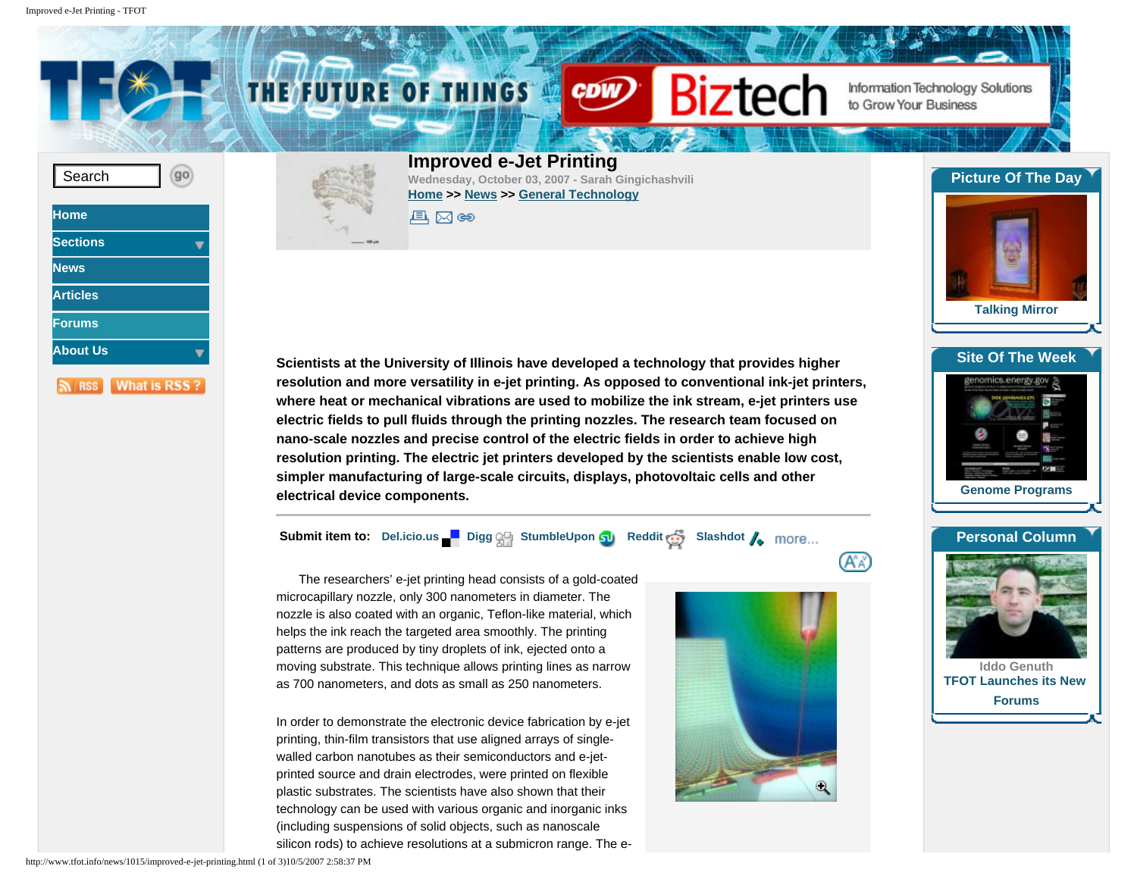<span id="page-0-0"></span>





(A`a'

**Scientists at the University of Illinois have developed a technology that provides higher resolution and more versatility in e-jet printing. As opposed to conventional ink-jet printers, where heat or mechanical vibrations are used to mobilize the ink stream, e-jet printers use electric fields to pull fluids through the printing nozzles. The research team focused on nano-scale nozzles and precise control of the electric fields in order to achieve high resolution printing. The electric jet printers developed by the scientists enable low cost, simpler manufacturing of large-scale circuits, displays, photovoltaic cells and other electrical device components.** 

**Submit item to:** [Del.icio.us](http://del.icio.us/) **[Digg](http://www.digg.com/) All [StumbleUpon](http://www.stumbleupon.com/) <b>GU** [Reddit](http://reddit.com/) **C** [Slashdot](http://slashdot.org/) **A** more...

The researchers' e-jet printing head consists of a gold-coated microcapillary nozzle, only 300 nanometers in diameter. The nozzle is also coated with an organic, Teflon-like material, which helps the ink reach the targeted area smoothly. The printing patterns are produced by tiny droplets of ink, ejected onto a moving substrate. This technique allows printing lines as narrow as 700 nanometers, and dots as small as 250 nanometers.

In order to demonstrate the electronic device fabrication by e-jet printing, thin-film transistors that use aligned arrays of singlewalled carbon nanotubes as their semiconductors and e-jetprinted source and drain electrodes, were printed on flexible plastic substrates. The scientists have also shown that their technology can be used with various organic and inorganic inks (including suspensions of solid objects, such as nanoscale silicon rods) to achieve resolutions at a submicron range. The e-



**[Site Of The Week](http://www.tfot.info/site.php)** omics.energy.go

**[Genome Programs](http://www.tfot.info/site/1003/genome-programs.html)**

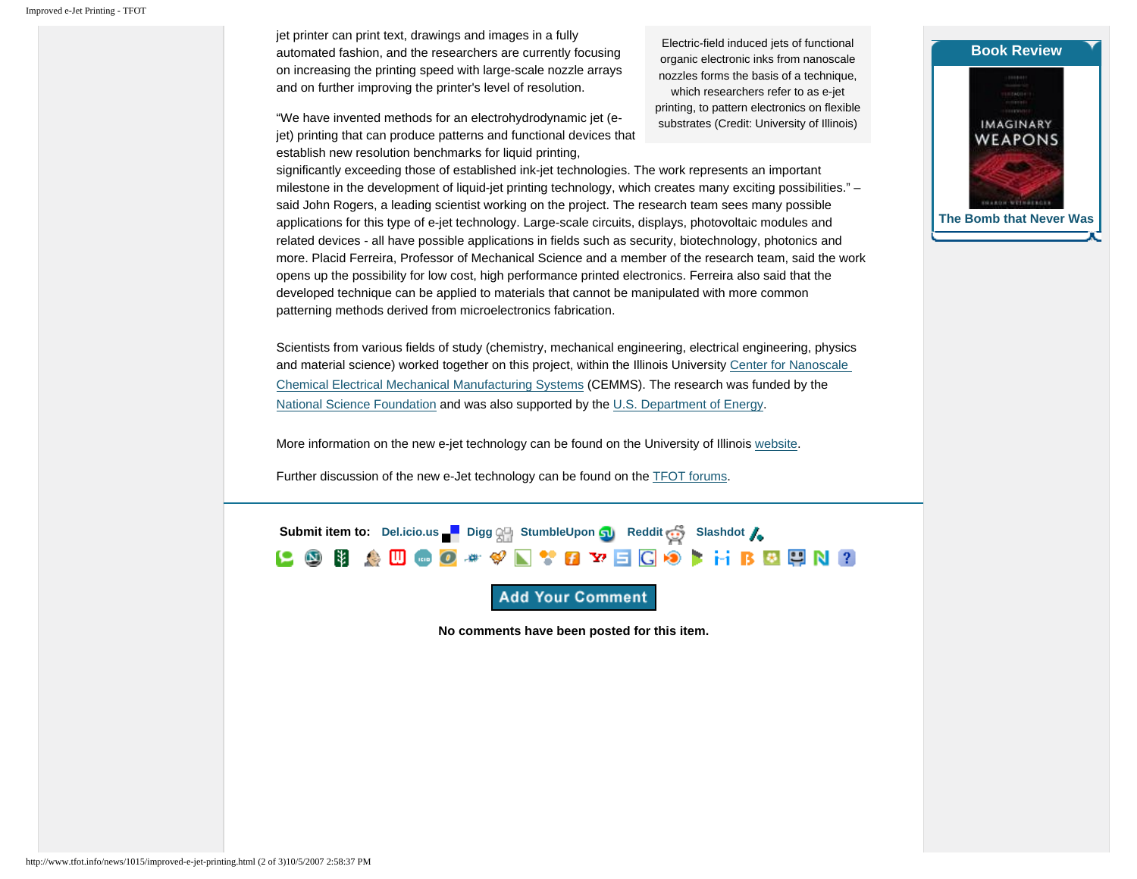jet printer can print text, drawings and images in a fully automated fashion, and the researchers are currently focusing on increasing the printing speed with large-scale nozzle arrays and on further improving the printer's level of resolution.

"We have invented methods for an electrohydrodynamic jet (ejet) printing that can produce patterns and functional devices that establish new resolution benchmarks for liquid printing,

Electric-field induced jets of functional organic electronic inks from nanoscale nozzles forms the basis of a technique, which researchers refer to as e-jet printing, to pattern electronics on flexible substrates (Credit: University of Illinois)

significantly exceeding those of established ink-jet technologies. The work represents an important milestone in the development of liquid-jet printing technology, which creates many exciting possibilities." – said John Rogers, a leading scientist working on the project. The research team sees many possible applications for this type of e-jet technology. Large-scale circuits, displays, photovoltaic modules and related devices - all have possible applications in fields such as security, biotechnology, photonics and more. Placid Ferreira, Professor of Mechanical Science and a member of the research team, said the work opens up the possibility for low cost, high performance printed electronics. Ferreira also said that the developed technique can be applied to materials that cannot be manipulated with more common patterning methods derived from microelectronics fabrication.

Scientists from various fields of study (chemistry, mechanical engineering, electrical engineering, physics and material science) worked together on this project, within the Illinois University [Center for Nanoscale](http://www.nano-cemms.uiuc.edu/)  [Chemical Electrical Mechanical Manufacturing Systems](http://www.nano-cemms.uiuc.edu/) (CEMMS). The research was funded by the [National Science Foundation](http://www.nsf.gov/) and was also supported by the [U.S. Department of Energy.](http://www.energy.gov/)

More information on the new e-jet technology can be found on the University of Illinois [website.](http://www.news.uiuc.edu/NEWS/07/0906printing.html)

Further discussion of the new e-Jet technology can be found on the [TFOT forums.](http://www.tfot.info/forums/viewtopic.php?f=6&t=12&p=29#p29)



**Add Your Comment** 

**No comments have been posted for this item.**